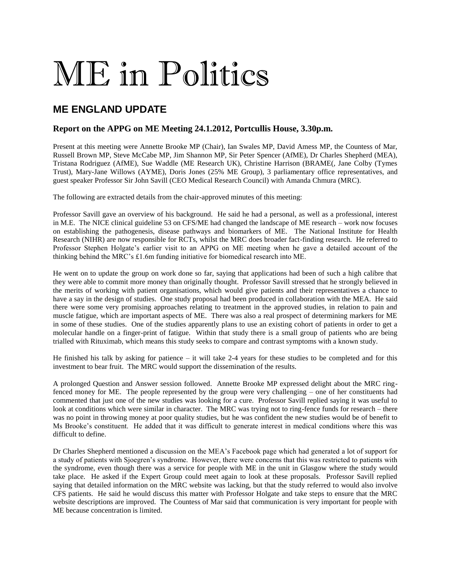## ME in Politics

## **ME ENGLAND UPDATE**

## **Report on the APPG on ME Meeting 24.1.2012, Portcullis House, 3.30p.m.**

Present at this meeting were Annette Brooke MP (Chair), Ian Swales MP, David Amess MP, the Countess of Mar, Russell Brown MP, Steve McCabe MP, Jim Shannon MP, Sir Peter Spencer (AfME), Dr Charles Shepherd (MEA), Tristana Rodriguez (AfME), Sue Waddle (ME Research UK), Christine Harrison (BRAME(, Jane Colby (Tymes Trust), Mary-Jane Willows (AYME), Doris Jones (25% ME Group), 3 parliamentary office representatives, and guest speaker Professor Sir John Savill (CEO Medical Research Council) with Amanda Chmura (MRC).

The following are extracted details from the chair-approved minutes of this meeting:

Professor Savill gave an overview of his background. He said he had a personal, as well as a professional, interest in M.E. The NICE clinical guideline 53 on CFS/ME had changed the landscape of ME research – work now focuses on establishing the pathogenesis, disease pathways and biomarkers of ME. The National Institute for Health Research (NIHR) are now responsible for RCTs, whilst the MRC does broader fact-finding research. He referred to Professor Stephen Holgate's earlier visit to an APPG on ME meeting when he gave a detailed account of the thinking behind the MRC's  $\pounds$ 1.6m funding initiative for biomedical research into ME.

He went on to update the group on work done so far, saying that applications had been of such a high calibre that they were able to commit more money than originally thought. Professor Savill stressed that he strongly believed in the merits of working with patient organisations, which would give patients and their representatives a chance to have a say in the design of studies. One study proposal had been produced in collaboration with the MEA. He said there were some very promising approaches relating to treatment in the approved studies, in relation to pain and muscle fatigue, which are important aspects of ME. There was also a real prospect of determining markers for ME in some of these studies. One of the studies apparently plans to use an existing cohort of patients in order to get a molecular handle on a finger-print of fatigue. Within that study there is a small group of patients who are being trialled with Rituximab, which means this study seeks to compare and contrast symptoms with a known study.

He finished his talk by asking for patience – it will take 2-4 years for these studies to be completed and for this investment to bear fruit. The MRC would support the dissemination of the results.

A prolonged Question and Answer session followed. Annette Brooke MP expressed delight about the MRC ringfenced money for ME. The people represented by the group were very challenging – one of her constituents had commented that just one of the new studies was looking for a cure. Professor Savill replied saying it was useful to look at conditions which were similar in character. The MRC was trying not to ring-fence funds for research – there was no point in throwing money at poor quality studies, but he was confident the new studies would be of benefit to Ms Brooke's constituent. He added that it was difficult to generate interest in medical conditions where this was difficult to define.

Dr Charles Shepherd mentioned a discussion on the MEA's Facebook page which had generated a lot of support for a study of patients with Sjoegren's syndrome. However, there were concerns that this was restricted to patients with the syndrome, even though there was a service for people with ME in the unit in Glasgow where the study would take place. He asked if the Expert Group could meet again to look at these proposals. Professor Savill replied saying that detailed information on the MRC website was lacking, but that the study referred to would also involve CFS patients. He said he would discuss this matter with Professor Holgate and take steps to ensure that the MRC website descriptions are improved. The Countess of Mar said that communication is very important for people with ME because concentration is limited.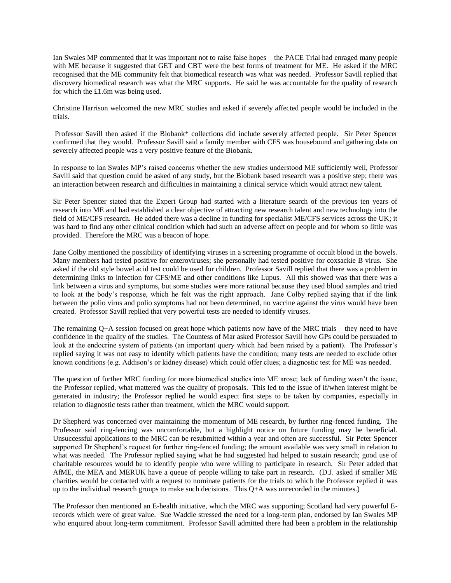Ian Swales MP commented that it was important not to raise false hopes – the PACE Trial had enraged many people with ME because it suggested that GET and CBT were the best forms of treatment for ME. He asked if the MRC recognised that the ME community felt that biomedical research was what was needed. Professor Savill replied that discovery biomedical research was what the MRC supports. He said he was accountable for the quality of research for which the £1.6m was being used.

Christine Harrison welcomed the new MRC studies and asked if severely affected people would be included in the trials.

Professor Savill then asked if the Biobank\* collections did include severely affected people. Sir Peter Spencer confirmed that they would. Professor Savill said a family member with CFS was housebound and gathering data on severely affected people was a very positive feature of the Biobank.

In response to Ian Swales MP's raised concerns whether the new studies understood ME sufficiently well, Professor Savill said that question could be asked of any study, but the Biobank based research was a positive step; there was an interaction between research and difficulties in maintaining a clinical service which would attract new talent.

Sir Peter Spencer stated that the Expert Group had started with a literature search of the previous ten years of research into ME and had established a clear objective of attracting new research talent and new technology into the field of ME/CFS research. He added there was a decline in funding for specialist ME/CFS services across the UK; it was hard to find any other clinical condition which had such an adverse affect on people and for whom so little was provided. Therefore the MRC was a beacon of hope.

Jane Colby mentioned the possibility of identifying viruses in a screening programme of occult blood in the bowels. Many members had tested positive for enteroviruses; she personally had tested positive for coxsackie B virus. She asked if the old style bowel acid test could be used for children. Professor Savill replied that there was a problem in determining links to infection for CFS/ME and other conditions like Lupus. All this showed was that there was a link between a virus and symptoms, but some studies were more rational because they used blood samples and tried to look at the body's response, which he felt was the right approach. Jane Colby replied saying that if the link between the polio virus and polio symptoms had not been determined, no vaccine against the virus would have been created. Professor Savill replied that very powerful tests are needed to identify viruses.

The remaining Q+A session focused on great hope which patients now have of the MRC trials – they need to have confidence in the quality of the studies. The Countess of Mar asked Professor Savill how GPs could be persuaded to look at the endocrine system of patients (an important query which had been raised by a patient). The Professor's replied saying it was not easy to identify which patients have the condition; many tests are needed to exclude other known conditions (e.g. Addison's or kidney disease) which could offer clues; a diagnostic test for ME was needed.

The question of further MRC funding for more biomedical studies into ME arose; lack of funding wasn't the issue, the Professor replied, what mattered was the quality of proposals. This led to the issue of if/when interest might be generated in industry; the Professor replied he would expect first steps to be taken by companies, especially in relation to diagnostic tests rather than treatment, which the MRC would support.

Dr Shepherd was concerned over maintaining the momentum of ME research, by further ring-fenced funding. The Professor said ring-fencing was uncomfortable, but a highlight notice on future funding may be beneficial. Unsuccessful applications to the MRC can be resubmitted within a year and often are successful. Sir Peter Spencer supported Dr Shepherd's request for further ring-fenced funding; the amount available was very small in relation to what was needed. The Professor replied saying what he had suggested had helped to sustain research; good use of charitable resources would be to identify people who were willing to participate in research. Sir Peter added that AfME, the MEA and MERUK have a queue of people willing to take part in research. (D.J. asked if smaller ME charities would be contacted with a request to nominate patients for the trials to which the Professor replied it was up to the individual research groups to make such decisions. This Q+A was unrecorded in the minutes.)

The Professor then mentioned an E-health initiative, which the MRC was supporting; Scotland had very powerful Erecords which were of great value. Sue Waddle stressed the need for a long-term plan, endorsed by Ian Swales MP who enquired about long-term commitment. Professor Savill admitted there had been a problem in the relationship